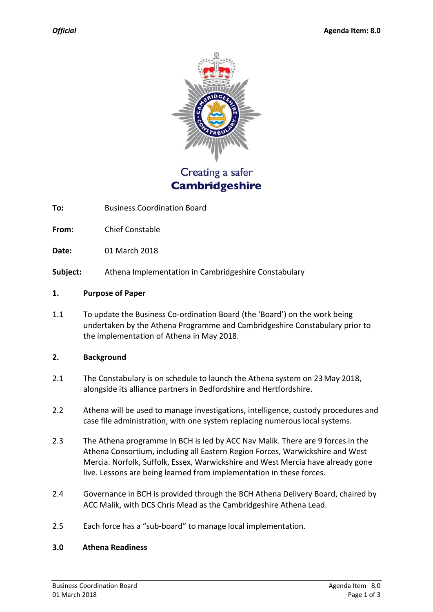

# Creating a safer **Cambridgeshire**

**To:** Business Coordination Board

**From:** Chief Constable

**Date:** 01 March 2018

**Subject:** Athena Implementation in Cambridgeshire Constabulary

#### **1. Purpose of Paper**

1.1 To update the Business Co-ordination Board (the 'Board') on the work being undertaken by the Athena Programme and Cambridgeshire Constabulary prior to the implementation of Athena in May 2018.

#### **2. Background**

- 2.1 The Constabulary is on schedule to launch the Athena system on 23 May 2018, alongside its alliance partners in Bedfordshire and Hertfordshire.
- 2.2 Athena will be used to manage investigations, intelligence, custody procedures and case file administration, with one system replacing numerous local systems.
- 2.3 The Athena programme in BCH is led by ACC Nav Malik. There are 9 forces in the Athena Consortium, including all Eastern Region Forces, Warwickshire and West Mercia. Norfolk, Suffolk, Essex, Warwickshire and West Mercia have already gone live. Lessons are being learned from implementation in these forces.
- 2.4 Governance in BCH is provided through the BCH Athena Delivery Board, chaired by ACC Malik, with DCS Chris Mead as the Cambridgeshire Athena Lead.
- 2.5 Each force has a "sub-board" to manage local implementation.

#### **3.0 Athena Readiness**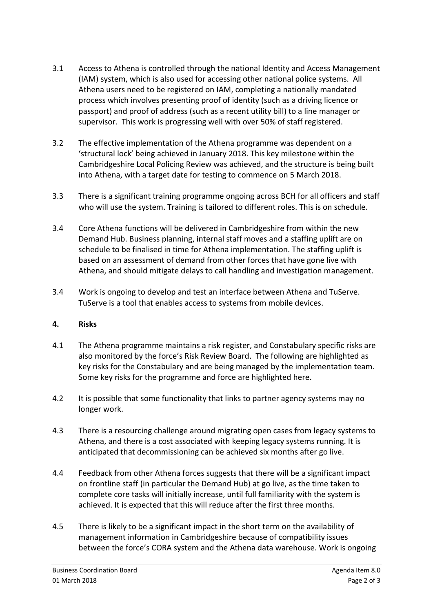- 3.1 Access to Athena is controlled through the national Identity and Access Management (IAM) system, which is also used for accessing other national police systems. All Athena users need to be registered on IAM, completing a nationally mandated process which involves presenting proof of identity (such as a driving licence or passport) and proof of address (such as a recent utility bill) to a line manager or supervisor. This work is progressing well with over 50% of staff registered.
- 3.2 The effective implementation of the Athena programme was dependent on a 'structural lock' being achieved in January 2018. This key milestone within the Cambridgeshire Local Policing Review was achieved, and the structure is being built into Athena, with a target date for testing to commence on 5 March 2018.
- 3.3 There is a significant training programme ongoing across BCH for all officers and staff who will use the system. Training is tailored to different roles. This is on schedule.
- 3.4 Core Athena functions will be delivered in Cambridgeshire from within the new Demand Hub. Business planning, internal staff moves and a staffing uplift are on schedule to be finalised in time for Athena implementation. The staffing uplift is based on an assessment of demand from other forces that have gone live with Athena, and should mitigate delays to call handling and investigation management.
- 3.4 Work is ongoing to develop and test an interface between Athena and TuServe. TuServe is a tool that enables access to systems from mobile devices.

## **4. Risks**

- 4.1 The Athena programme maintains a risk register, and Constabulary specific risks are also monitored by the force's Risk Review Board. The following are highlighted as key risks for the Constabulary and are being managed by the implementation team. Some key risks for the programme and force are highlighted here.
- 4.2 It is possible that some functionality that links to partner agency systems may no longer work.
- 4.3 There is a resourcing challenge around migrating open cases from legacy systems to Athena, and there is a cost associated with keeping legacy systems running. It is anticipated that decommissioning can be achieved six months after go live.
- 4.4 Feedback from other Athena forces suggests that there will be a significant impact on frontline staff (in particular the Demand Hub) at go live, as the time taken to complete core tasks will initially increase, until full familiarity with the system is achieved. It is expected that this will reduce after the first three months.
- 4.5 There is likely to be a significant impact in the short term on the availability of management information in Cambridgeshire because of compatibility issues between the force's CORA system and the Athena data warehouse. Work is ongoing